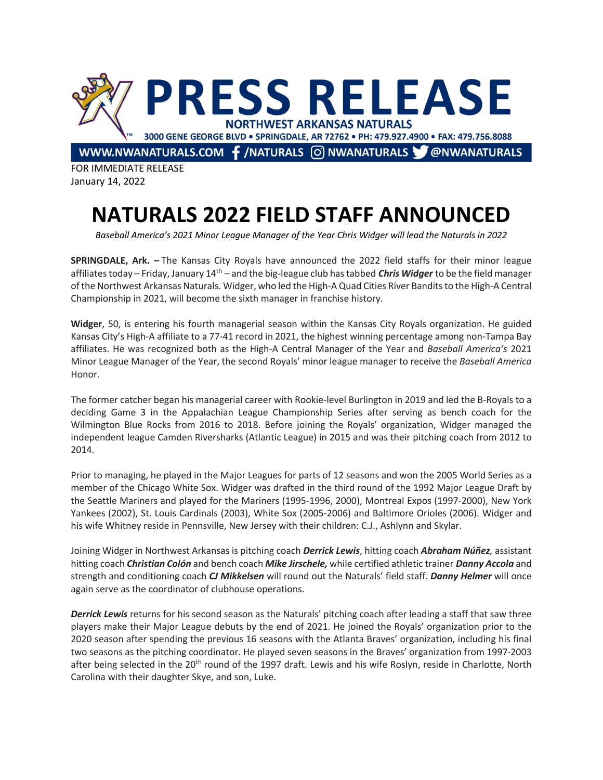

FOR IMMEDIATE RELEASE January 14, 2022

## **NATURALS 2022 FIELD STAFF ANNOUNCED**

*Baseball America's 2021 Minor League Manager of the Year Chris Widger will lead the Naturals in 2022*

**SPRINGDALE, Ark. –** The Kansas City Royals have announced the 2022 field staffs for their minor league affiliates today – Friday, January 14th – and the big-league club hastabbed *Chris Widger* to be the field manager of the Northwest Arkansas Naturals. Widger, who led the High-A Quad Cities River Bandits to the High-A Central Championship in 2021, will become the sixth manager in franchise history.

**Widger**, 50, is entering his fourth managerial season within the Kansas City Royals organization. He guided Kansas City's High-A affiliate to a 77-41 record in 2021, the highest winning percentage among non-Tampa Bay affiliates. He was recognized both as the High-A Central Manager of the Year and *Baseball America's* 2021 Minor League Manager of the Year, the second Royals' minor league manager to receive the *Baseball America* Honor.

The former catcher began his managerial career with Rookie-level Burlington in 2019 and led the B-Royals to a deciding Game 3 in the Appalachian League Championship Series after serving as bench coach for the Wilmington Blue Rocks from 2016 to 2018. Before joining the Royals' organization, Widger managed the independent league Camden Riversharks (Atlantic League) in 2015 and was their pitching coach from 2012 to 2014.

Prior to managing, he played in the Major Leagues for parts of 12 seasons and won the 2005 World Series as a member of the Chicago White Sox. Widger was drafted in the third round of the 1992 Major League Draft by the Seattle Mariners and played for the Mariners (1995-1996, 2000), Montreal Expos (1997-2000), New York Yankees (2002), St. Louis Cardinals (2003), White Sox (2005-2006) and Baltimore Orioles (2006). Widger and his wife Whitney reside in Pennsville, New Jersey with their children: C.J., Ashlynn and Skylar.

Joining Widger in Northwest Arkansas is pitching coach *Derrick Lewis*, hitting coach *Abraham Núñez,* assistant hitting coach *Christian Colón* and bench coach *Mike Jirschele,* while certified athletic trainer *Danny Accola* and strength and conditioning coach *CJ Mikkelsen* will round out the Naturals' field staff. *Danny Helmer* will once again serve as the coordinator of clubhouse operations.

*Derrick Lewis* returns for his second season as the Naturals' pitching coach after leading a staff that saw three players make their Major League debuts by the end of 2021. He joined the Royals' organization prior to the 2020 season after spending the previous 16 seasons with the Atlanta Braves' organization, including his final two seasons as the pitching coordinator. He played seven seasons in the Braves' organization from 1997-2003 after being selected in the 20<sup>th</sup> round of the 1997 draft. Lewis and his wife Roslyn, reside in Charlotte, North Carolina with their daughter Skye, and son, Luke.